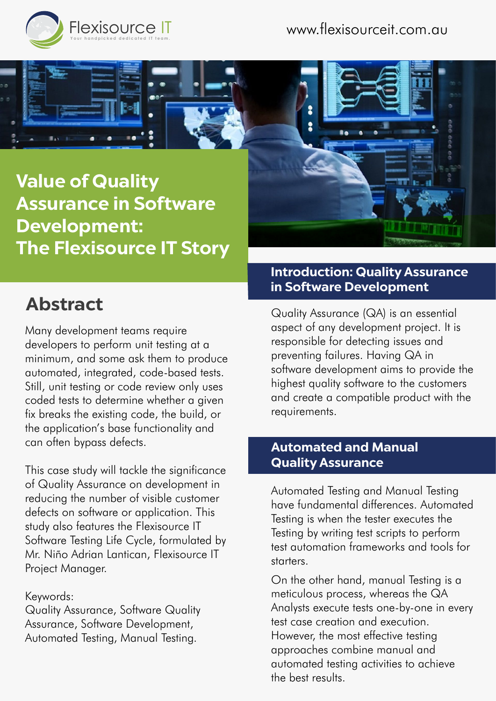

**Value of Quality Assurance in Software Development: The Flexisource IT Story**

# **Abstract**

Many development teams require developers to perform unit testing at a minimum, and some ask them to produce automated, integrated, code-based tests. Still, unit testing or code review only uses coded tests to determine whether a given fix breaks the existing code, the build, or the application's base functionality and can often bypass defects.

This case study will tackle the significance of Quality Assurance on development in reducing the number of visible customer defects on software or application. This study also features the Flexisource IT Software Testing Life Cycle, formulated by Mr. Niño Adrian Lantican, Flexisource IT Project Manager.

#### Keywords:

Quality Assurance, Software Quality Assurance, Software Development, Automated Testing, Manual Testing.



#### **Introduction: Quality Assurance in Software Development**

Quality Assurance (QA) is an essential aspect of any development project. It is responsible for detecting issues and preventing failures. Having QA in software development aims to provide the highest quality software to the customers and create a compatible product with the requirements.

#### **Automated and Manual Quality Assurance**

Automated Testing and Manual Testing have fundamental differences. Automated Testing is when the tester executes the Testing by writing test scripts to perform test automation frameworks and tools for starters.

On the other hand, manual Testing is a meticulous process, whereas the QA Analysts execute tests one-by-one in every test case creation and execution. However, the most effective testing approaches combine manual and automated testing activities to achieve the best results.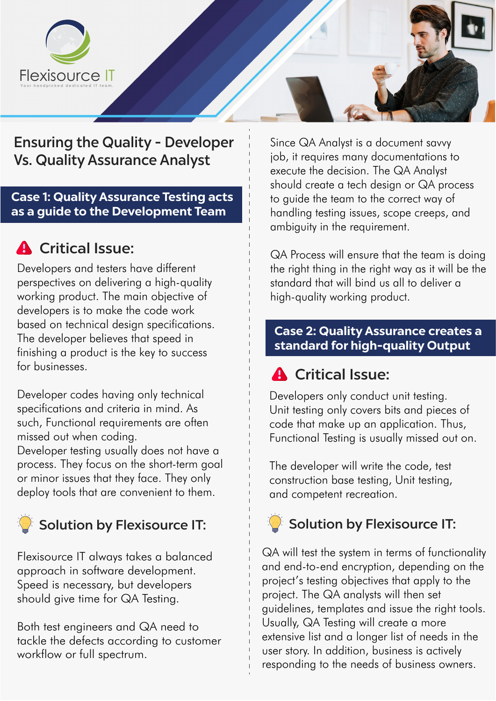

## Ensuring the Quality - Developer Vs. Quality Assurance Analyst

#### **Case 1: Quality Assurance Testing acts as a guide to the Development Team**

## **A** Critical Issue:

Developers and testers have different perspectives on delivering a high-quality working product. The main objective of developers is to make the code work based on technical design specifications. The developer believes that speed in finishing a product is the key to success for businesses.

Developer codes having only technical specifications and criteria in mind. As such, Functional requirements are often missed out when coding.

Developer testing usually does not have a process. They focus on the short-term goal or minor issues that they face. They only deploy tools that are convenient to them.

Flexisource IT always takes a balanced approach in software development. Speed is necessary, but developers should give time for QA Testing.

Both test engineers and QA need to tackle the defects according to customer workflow or full spectrum.

Since QA Analyst is a document savvy job, it requires many documentations to execute the decision. The QA Analyst should create a tech design or QA process to guide the team to the correct way of handling testing issues, scope creeps, and ambiguity in the requirement.

QA Process will ensure that the team is doing the right thing in the right way as it will be the standard that will bind us all to deliver a high-quality working product.

#### **Case 2: Quality Assurance creates a standard for high-quality Output**

## **A** Critical Issue:

Developers only conduct unit testing. Unit testing only covers bits and pieces of code that make up an application. Thus, Functional Testing is usually missed out on.

The developer will write the code, test construction base testing, Unit testing, and competent recreation.

## Solution by Flexisource IT: Solution by Flexisource IT:

QA will test the system in terms of functionality and end-to-end encryption, depending on the project's testing objectives that apply to the project. The QA analysts will then set guidelines, templates and issue the right tools. Usually, QA Testing will create a more extensive list and a longer list of needs in the user story. In addition, business is actively responding to the needs of business owners.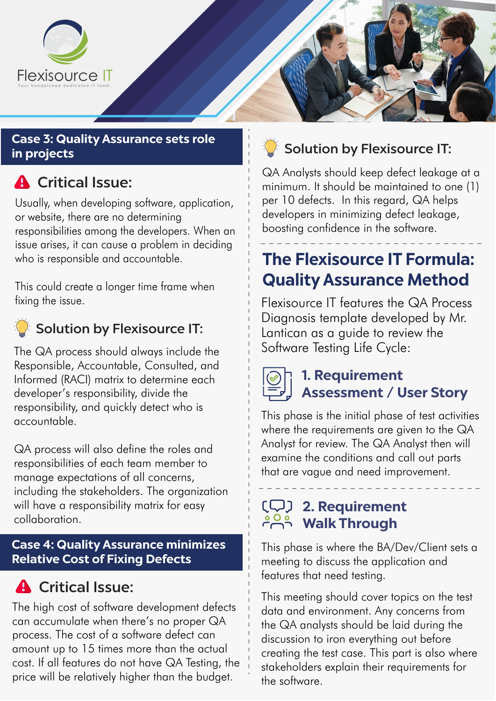

#### **Case 3: Quality Assurance sets role in projects**

# **A** Critical Issue:

Usually, when developing software, application, or website, there are no determining responsibilities among the developers. When an issue arises, it can cause a problem in deciding who is responsible and accountable.

This could create a longer time frame when fixing the issue.

## $\mathbb{Z}^2$  Solution by Flexisource IT:

The QA process should always include the Responsible, Accountable, Consulted, and Informed (RACI) matrix to determine each developer's responsibility, divide the responsibility, and quickly detect who is accountable.

QA process will also define the roles and responsibilities of each team member to manage expectations of all concerns, including the stakeholders. The organization will have a responsibility matrix for easy collaboration.

#### **Case 4: Quality Assurance minimizes Relative Cost of Fixing Defects**

## **A** Critical Issue:

The high cost of software development defects can accumulate when there's no proper QA process. The cost of a software defect can amount up to 15 times more than the actual cost. If all features do not have QA Testing, the price will be relatively higher than the budget.



QA Analysts should keep defect leakage at a minimum. It should be maintained to one (1) per 10 defects. In this regard, QA helps developers in minimizing defect leakage, boosting confidence in the software.

## **The Flexisource IT Formula: Quality Assurance Method**

Flexisource IT features the QA Process Diagnosis template developed by Mr. Lantican as a guide to review the Software Testing Life Cycle:



## **1. Requirement Assessment / User Story**

This phase is the initial phase of test activities where the requirements are given to the QA Analyst for review. The QA Analyst then will examine the conditions and call out parts that are vague and need improvement.

## **2. Requirement Walk Through**

This phase is where the BA/Dev/Client sets a meeting to discuss the application and features that need testing.

This meeting should cover topics on the test data and environment. Any concerns from the QA analysts should be laid during the discussion to iron everything out before creating the test case. This part is also where stakeholders explain their requirements for the software.